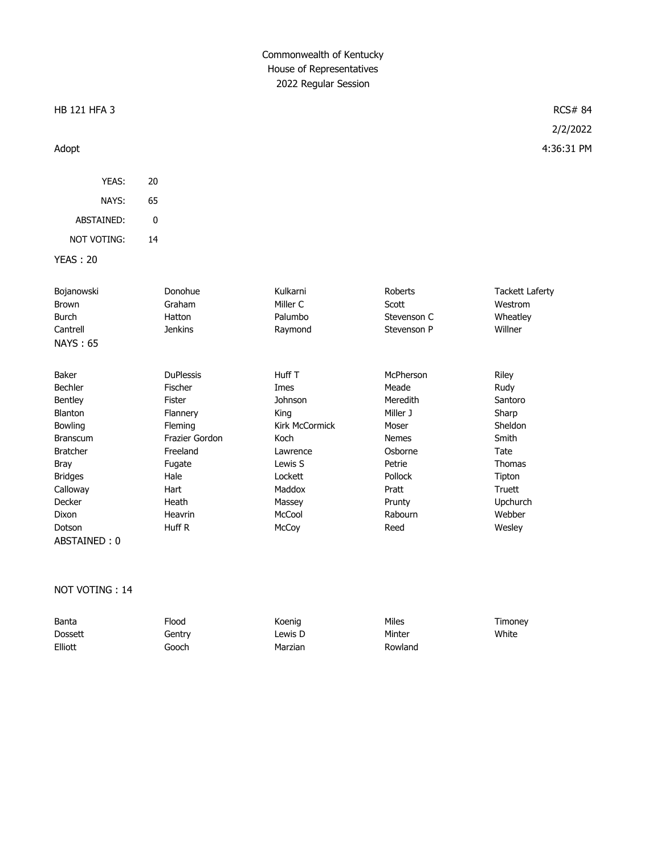# Commonwealth of Kentucky House of Representatives 2022 Regular Session

### HB 121 HFA 3 RCS# 84

#### Adopt 4:36:31 PM

YEAS: 20 NAYS: 65 ABSTAINED: 0 NOT VOTING: 14

YEAS : 20

| Bojanowski      | Donohue          | Kulkarni              | Roberts      | <b>Tackett Laferty</b> |
|-----------------|------------------|-----------------------|--------------|------------------------|
| <b>Brown</b>    | Graham           | Miller C              | Scott        | Westrom                |
| <b>Burch</b>    | Hatton           | Palumbo               | Stevenson C  | Wheatley               |
| Cantrell        | <b>Jenkins</b>   | Raymond               | Stevenson P  | Willner                |
| <b>NAYS: 65</b> |                  |                       |              |                        |
| Baker           | <b>DuPlessis</b> | Huff T                | McPherson    | Riley                  |
| <b>Bechler</b>  | Fischer          | Imes                  | Meade        | Rudy                   |
| <b>Bentley</b>  | Fister           | Johnson               | Meredith     | Santoro                |
| <b>Blanton</b>  | Flannery         | King                  | Miller J     | Sharp                  |
| <b>Bowling</b>  | Fleming          | <b>Kirk McCormick</b> | Moser        | Sheldon                |
| <b>Branscum</b> | Frazier Gordon   | Koch                  | <b>Nemes</b> | Smith                  |
| <b>Bratcher</b> | Freeland         | Lawrence              | Osborne      | Tate                   |
| <b>Bray</b>     | Fugate           | Lewis S               | Petrie       | <b>Thomas</b>          |
| <b>Bridges</b>  | Hale             | Lockett               | Pollock      | Tipton                 |
| Calloway        | Hart             | Maddox                | Pratt        | Truett                 |
| Decker          | Heath            | Massey                | Prunty       | <b>Upchurch</b>        |
| Dixon           | Heavrin          | McCool                | Rabourn      | Webber                 |
| Dotson          | Huff R           | McCoy                 | Reed         | Wesley                 |
| ABSTAINED: 0    |                  |                       |              |                        |

### NOT VOTING : 14

| Banta   | Flood  | Koenig  | Miles   | Timoney |
|---------|--------|---------|---------|---------|
| Dossett | Gentry | ∟ewis D | Minter  | White   |
| Elliott | Gooch  | Marzian | Rowland |         |

# 2/2/2022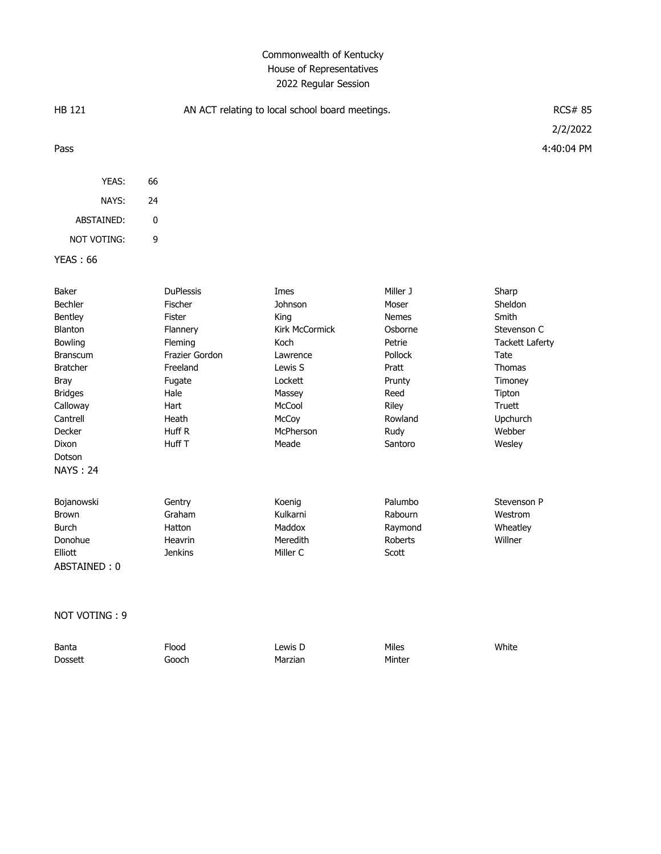### Commonwealth of Kentucky House of Representatives 2022 Regular Session

| <b>HB 121</b>                                                                                                                                                                                    | AN ACT relating to local school board meetings.                                                                                                   |                                                                                                                                        |                                                                                                                                     | <b>RCS# 85</b><br>2/2/2022                                                                                                                                 |
|--------------------------------------------------------------------------------------------------------------------------------------------------------------------------------------------------|---------------------------------------------------------------------------------------------------------------------------------------------------|----------------------------------------------------------------------------------------------------------------------------------------|-------------------------------------------------------------------------------------------------------------------------------------|------------------------------------------------------------------------------------------------------------------------------------------------------------|
| Pass                                                                                                                                                                                             |                                                                                                                                                   |                                                                                                                                        |                                                                                                                                     | 4:40:04 PM                                                                                                                                                 |
| YEAS:                                                                                                                                                                                            | 66                                                                                                                                                |                                                                                                                                        |                                                                                                                                     |                                                                                                                                                            |
| NAYS:                                                                                                                                                                                            | 24                                                                                                                                                |                                                                                                                                        |                                                                                                                                     |                                                                                                                                                            |
| ABSTAINED:                                                                                                                                                                                       | 0                                                                                                                                                 |                                                                                                                                        |                                                                                                                                     |                                                                                                                                                            |
| <b>NOT VOTING:</b>                                                                                                                                                                               | 9                                                                                                                                                 |                                                                                                                                        |                                                                                                                                     |                                                                                                                                                            |
| <b>YEAS: 66</b>                                                                                                                                                                                  |                                                                                                                                                   |                                                                                                                                        |                                                                                                                                     |                                                                                                                                                            |
| Baker<br>Bechler<br>Bentley<br>Blanton<br>Bowling<br><b>Branscum</b><br><b>Bratcher</b><br><b>Bray</b><br><b>Bridges</b><br>Calloway<br>Cantrell<br>Decker<br>Dixon<br>Dotson<br><b>NAYS: 24</b> | <b>DuPlessis</b><br>Fischer<br>Fister<br>Flannery<br>Fleming<br>Frazier Gordon<br>Freeland<br>Fugate<br>Hale<br>Hart<br>Heath<br>Huff R<br>Huff T | Imes<br>Johnson<br>King<br>Kirk McCormick<br>Koch<br>Lawrence<br>Lewis S<br>Lockett<br>Massey<br>McCool<br>McCoy<br>McPherson<br>Meade | Miller J<br>Moser<br><b>Nemes</b><br>Osborne<br>Petrie<br>Pollock<br>Pratt<br>Prunty<br>Reed<br>Riley<br>Rowland<br>Rudy<br>Santoro | Sharp<br>Sheldon<br>Smith<br>Stevenson C<br><b>Tackett Laferty</b><br>Tate<br><b>Thomas</b><br>Timoney<br>Tipton<br>Truett<br>Upchurch<br>Webber<br>Wesley |
| Bojanowski                                                                                                                                                                                       | Gentry                                                                                                                                            | Koenig                                                                                                                                 | Palumbo                                                                                                                             | Stevenson P                                                                                                                                                |
| <b>Brown</b>                                                                                                                                                                                     | Graham                                                                                                                                            | Kulkarni                                                                                                                               | Rabourn                                                                                                                             | Westrom                                                                                                                                                    |
| <b>Burch</b>                                                                                                                                                                                     | Hatton                                                                                                                                            | Maddox                                                                                                                                 | Raymond                                                                                                                             | Wheatley                                                                                                                                                   |
| Donohue                                                                                                                                                                                          | Heavrin                                                                                                                                           | Meredith                                                                                                                               | <b>Roberts</b>                                                                                                                      | Willner                                                                                                                                                    |

NOT VOTING : 9

ABSTAINED : 0

| Banta          | Flood | Lewis D | Miles  | White |
|----------------|-------|---------|--------|-------|
| <b>Dossett</b> | Gooch | Marzian | Minter |       |

Elliott Jenkins Miller C Scott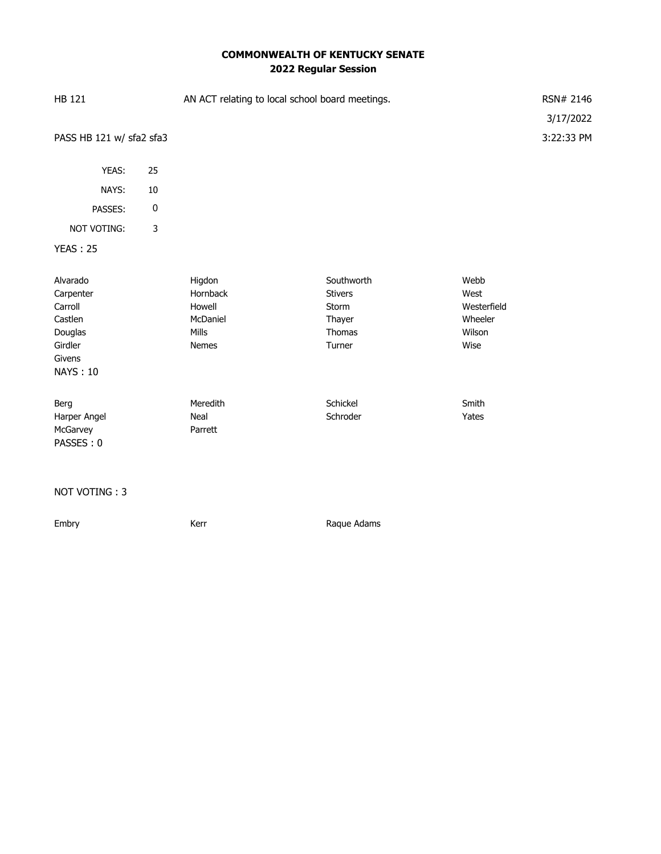# **COMMONWEALTH OF KENTUCKY SENATE 2022 Regular Session**

| HB 121                                                                                         |             | AN ACT relating to local school board meetings.            |                                                                     |                                                          | RSN# 2146<br>3/17/2022 |
|------------------------------------------------------------------------------------------------|-------------|------------------------------------------------------------|---------------------------------------------------------------------|----------------------------------------------------------|------------------------|
| PASS HB 121 w/ sfa2 sfa3                                                                       |             |                                                            |                                                                     |                                                          | 3:22:33 PM             |
| YEAS:                                                                                          | 25          |                                                            |                                                                     |                                                          |                        |
| NAYS:                                                                                          | $10\,$      |                                                            |                                                                     |                                                          |                        |
| PASSES:                                                                                        | $\pmb{0}$   |                                                            |                                                                     |                                                          |                        |
| NOT VOTING:                                                                                    | $\mathsf 3$ |                                                            |                                                                     |                                                          |                        |
| <b>YEAS: 25</b>                                                                                |             |                                                            |                                                                     |                                                          |                        |
| Alvarado<br>Carpenter<br>Carroll<br>Castlen<br>Douglas<br>Girdler<br>Givens<br><b>NAYS: 10</b> |             | Higdon<br>Hornback<br>Howell<br>McDaniel<br>Mills<br>Nemes | Southworth<br><b>Stivers</b><br>Storm<br>Thayer<br>Thomas<br>Turner | Webb<br>West<br>Westerfield<br>Wheeler<br>Wilson<br>Wise |                        |
| Berg<br>Harper Angel<br>McGarvey<br>PASSES: 0                                                  |             | Meredith<br>Neal<br>Parrett                                | Schickel<br>Schroder                                                | Smith<br>Yates                                           |                        |
| NOT VOTING: 3                                                                                  |             |                                                            |                                                                     |                                                          |                        |

Embry **Embry** Kerr **Kerr** Raque Adams